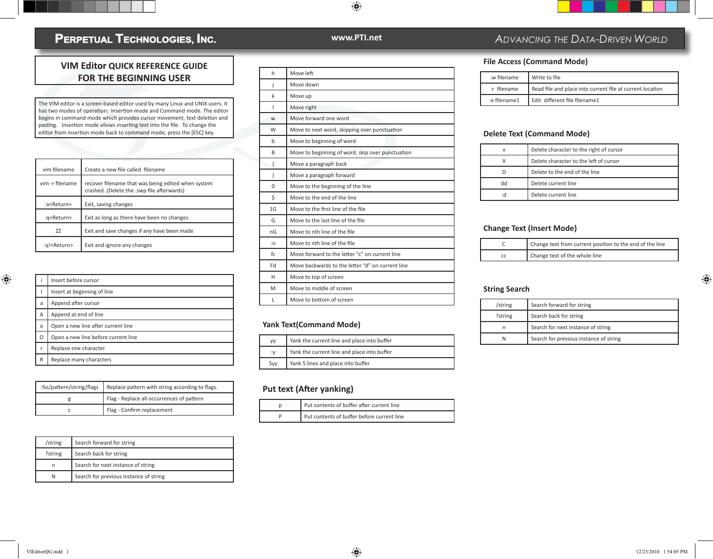## PERPETUAL TECHNOLOGIES, INC.

### **VIM Editor QUICK REFERENCE GUIDE FOR THE BEGINNING USER**

The VIM editor is a screen-based editor used by many Linux and UNIX users. It has two modes of operation: Insertion mode and Command mode. The editor begins in command mode which provides cursor movement, text deletion and pasting. Insertion mode allows inserting text into the file. To change the editor from insertion mode back to command mode, press the [ESC] key.

| vim filename          | Create a new file called filename                                                                |
|-----------------------|--------------------------------------------------------------------------------------------------|
| vim -r filename       | recover filename that was being edited when system<br>crashed. (Delete the .swp file afterwards) |
| :x <return></return>  | Exit, saving changes                                                                             |
| :g <return></return>  | Exit as long as there have been no changes                                                       |
| 77                    | Exit and save changes if any have been made                                                      |
| :a! <return></return> | Exit and ignore any changes                                                                      |

|   | Insert before cursor                |
|---|-------------------------------------|
|   | Insert at beginning of line         |
| a | Append after cursor                 |
| Α | Append at end of line               |
| O | Open a new line after current line  |
| O | Open a new line before current line |
| r | Replace one character               |
| R | Replace many characters             |

| :%s/pattern/string/flags   Replace pattern with string according to flags. |
|----------------------------------------------------------------------------|
| Flag - Replace all occurrences of pattern                                  |
| Flag - Confirm replacement                                                 |

| /string | Search forward for string              |
|---------|----------------------------------------|
| ?string | Search back for string                 |
| n       | Search for next instance of string     |
| N       | Search for previous instance of string |

| Ĥ |  |  |
|---|--|--|

 $\bigoplus$ 

| h   | Move left                                        |
|-----|--------------------------------------------------|
| İ   | Move down                                        |
| k   | Move up                                          |
| ı   | Move right                                       |
| W   | Move forward one word                            |
| W   | Move to next word, skipping over punctuation     |
| b   | Move to beginning of word                        |
| B   | Move to beginning of word, skip over punctuation |
| €   | Move a paragraph back                            |
| ł   | Move a paragraph forward                         |
| 0   | Move to the beginning of the line                |
| \$  | Move to the end of the line                      |
| 1G  | Move to the first line of the file               |
| G   | Move to the last line of the file                |
| nG  | Move to nth line of the file                     |
| : n | Move to nth line of the file                     |
| fc. | Move forward to the letter "c" on current line   |
| Fd  | Move backwards to the letter "d" on current line |
| н   | Move to top of screen                            |
| M   | Move to middle of screen                         |
| L   | Move to bottom of screen                         |
|     |                                                  |

#### **Yank Text(Command Mode)**

| VV  | Yank the current line and place into buffer |
|-----|---------------------------------------------|
| ۰.v | Yank the current line and place into buffer |
| 5yy | Yank 5 lines and place into buffer          |

#### **Put text (After yanking)**

| Put contents of buffer after current line  |
|--------------------------------------------|
| Put contents of buffer before current line |

## **www.PTI.net** *ADVANCING THE DATA-DRIVEN WORLD*

#### **File Access (Command Mode)**

| :w filename  | Write to file                                             |
|--------------|-----------------------------------------------------------|
| :r filename  | Read file and place into current file at current location |
| e filename1: | Edit different file filename1                             |

#### **Delete Text (Command Mode)**

| x  | Delete character to the right of cursor |
|----|-----------------------------------------|
|    | Delete character to the left of cursor  |
|    | Delete to the end of the line           |
| hb | Delete current line                     |
| :d | Delete current line                     |

#### **Change Text (Insert Mode)**

| Change text from current position to the end of the line |
|----------------------------------------------------------|
| Change text of the whole line                            |

#### **String Search**

| /string | Search forward for string              |
|---------|----------------------------------------|
| ?string | Search back for string                 |
| n       | Search for next instance of string     |
| N       | Search for previous instance of string |

⊕